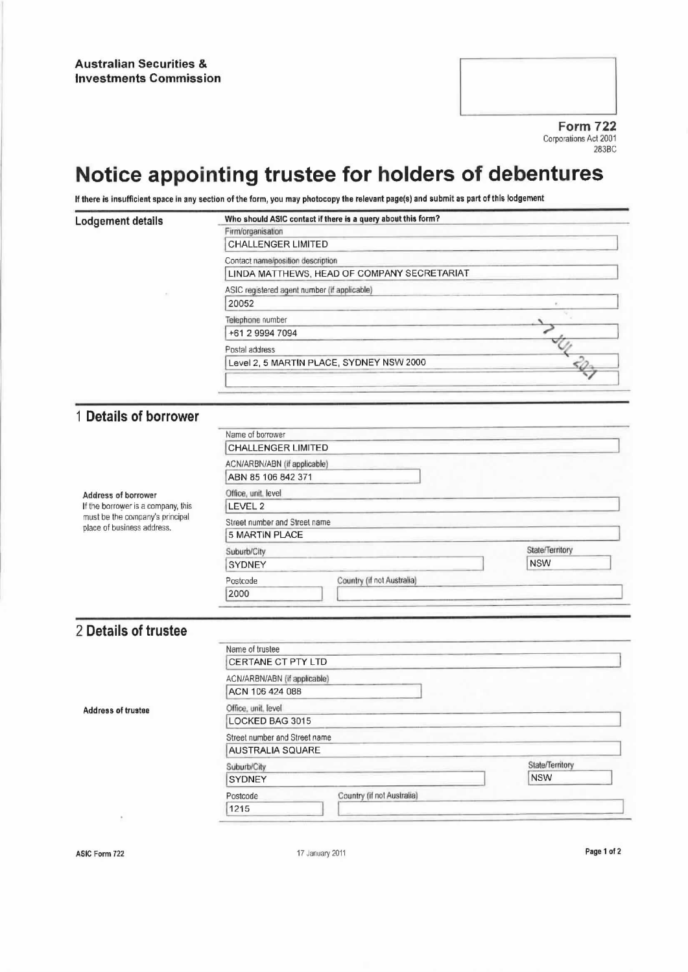Form 722 Corporations Act 2001 283BC

## Notice appointing trustee for holders of debentures

If there is insufficient space in any section of the form, you may photocopy the relevant page(8) and submit as part of this lodgement

| Lodgement details | Who should ASIC contact if there is a query about this form? |  |  |
|-------------------|--------------------------------------------------------------|--|--|
|                   | Firm/organisation                                            |  |  |
|                   | <b>CHALLENGER LIMITED</b>                                    |  |  |
|                   | Contact name/position description                            |  |  |
|                   | LINDA MATTHEWS, HEAD OF COMPANY SECRETARIAT                  |  |  |
|                   | ASIC registered agent number (if applicable)                 |  |  |
|                   | 20052                                                        |  |  |
|                   | Telephone number                                             |  |  |
|                   | +61 2 9994 7094                                              |  |  |
|                   | Postal address                                               |  |  |
|                   | Level 2, 5 MARTIN PLACE, SYDNEY NSW 2000                     |  |  |
|                   |                                                              |  |  |

## <sup>1</sup> Details of borrower

J.

| Address of borrower<br>If the borrower is a company, this<br>must be the company's principal<br>place of business address. | Name of borrower              |                            |                 |
|----------------------------------------------------------------------------------------------------------------------------|-------------------------------|----------------------------|-----------------|
|                                                                                                                            | <b>CHALLENGER LIMITED</b>     |                            |                 |
|                                                                                                                            | ACN/ARBN/ABN (if applicable)  |                            |                 |
|                                                                                                                            | ABN 85 106 842 371            |                            |                 |
|                                                                                                                            | Office, unit, level           |                            |                 |
|                                                                                                                            | LEVEL 2                       |                            |                 |
|                                                                                                                            | Street number and Street name |                            |                 |
|                                                                                                                            | 5 MARTIN PLACE                |                            |                 |
|                                                                                                                            | Suburb/City                   |                            | State/Territory |
|                                                                                                                            | <b>SYDNEY</b>                 |                            | <b>NSW</b>      |
|                                                                                                                            | Postcode                      | Country (if not Australia) |                 |
|                                                                                                                            | 2000                          |                            |                 |

## 2 Details of trustee

|                           | Name of trustee                        |                 |  |  |
|---------------------------|----------------------------------------|-----------------|--|--|
|                           | CERTANE CT PTY LTD                     |                 |  |  |
|                           | ACN/ARBN/ABN (if applicable)           |                 |  |  |
|                           | ACN 106 424 088                        |                 |  |  |
| <b>Address of trustee</b> | Office, unit, level                    |                 |  |  |
|                           | LOCKED BAG 3015                        |                 |  |  |
|                           | Street number and Street name          |                 |  |  |
|                           | <b>AUSTRALIA SQUARE</b>                |                 |  |  |
|                           | Suburb/City                            | State/Territory |  |  |
|                           | <b>SYDNEY</b>                          | <b>NSW</b>      |  |  |
|                           | Country (if not Australia)<br>Postcode |                 |  |  |
|                           | 1215                                   |                 |  |  |